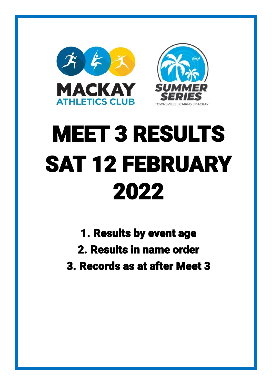



# MEET 3 RESULTS SAT 12 FEBRUARY 2022

- 1. Results by event age
- 2. Results in name order
- 3. Records as at after Meet 3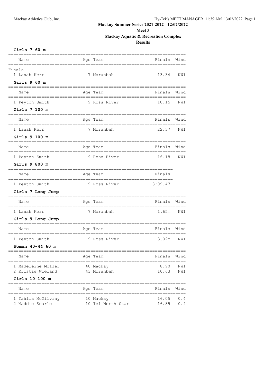**Meet 3**

# **Mackay Aquatic & Recreation Complex**

| Girls |  | 60 m |  |
|-------|--|------|--|
|-------|--|------|--|

| <b>ATLIS \ OO TIL</b>                       |                   |             |      |
|---------------------------------------------|-------------------|-------------|------|
| Name                                        | Age Team          | Finals      | Wind |
| Finals                                      |                   |             |      |
| 1 Lanah Kerr                                | 7 Moranbah        | 13.34       | NWI  |
| Girls $960 m$                               |                   |             |      |
| Name                                        | Aqe Team          | Finals      | Wind |
| 1 Peyton Smith                              | 9 Ross River      | 10.15       | NWI  |
| Girls 7 100 m                               |                   |             |      |
| Name                                        | Age Team          | Finals      | Wind |
| 1 Lanah Kerr                                | 7 Moranbah        | 22.37       | NWI  |
| Girls 9 100 m                               |                   |             |      |
| Name                                        | Age Team          | Finals      | Wind |
| 1 Peyton Smith                              | 9 Ross River      | 16.18       | NWI  |
| Girls 9 800 m                               |                   |             |      |
| Name                                        | Age Team          | Finals      |      |
| 1 Peyton Smith                              | 9 Ross River      | 3:09.47     |      |
| Girls 7 Long Jump                           |                   |             |      |
| Name                                        | Age Team          | Finals Wind |      |
| 1 Lanah Kerr                                | 7 Moranbah        | 1.65m NWI   |      |
| Girls 9 Long Jump                           |                   |             |      |
| Name                                        | Age Team          | Finals Wind |      |
| 1 Peyton Smith                              | 9 Ross River      | 3.02m NWI   |      |
| Women 40-44 60 m                            |                   |             |      |
| Name                                        | Age Team          | Finals Wind |      |
| 1 Madeleine Moller                          | 40 Mackay         | 8.90        | NWI  |
| 2 Kristie Wieland                           | 43 Moranbah       | 10.63       | NWI  |
| Girls 10 100 m                              |                   |             |      |
| Name                                        | Age Team          | Finals      | Wind |
| =====================<br>1 Tahlia McGilvray | 10 Mackay         | 16.05       | 0.4  |
| 2 Maddie Searle                             | 10 Tvl North Star | 16.89       | 0.4  |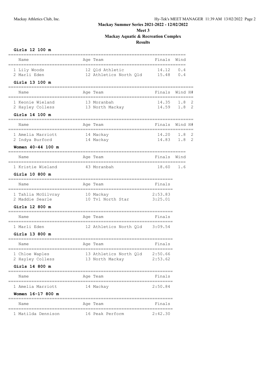## **Meet 3 Mackay Aquatic & Recreation Complex Results**

| Girls 12 100 m                                    |                        |                                                     |                    |         |                     |
|---------------------------------------------------|------------------------|-----------------------------------------------------|--------------------|---------|---------------------|
| Name<br>;===========<br>====================      |                        | Age Team<br>---------------------------------       | Finals             | Wind    |                     |
| 1 Lily Woods<br>2 Marli Eden                      |                        | 12 Qld Athletic<br>12 Athletics North Qld 15.48 0.4 | 14.12              | 0.4     |                     |
| Girls 13 100 m                                    |                        |                                                     |                    |         |                     |
| Name                                              |                        | Age Team                                            | Finals             | Wind H# |                     |
| 1 Keonie Wieland<br>2 Hayley Colless              |                        | 13 Moranbah<br>13 North Mackay                      | 14.35<br>14.59 1.8 | 1.8     | 2<br>$\overline{c}$ |
| Girls 14 100 m                                    |                        |                                                     |                    |         |                     |
| :=========<br>Name                                |                        | Age Team                                            | Finals             | Wind H# |                     |
| 1 Amelia Marriott<br>2 Indya Burford              | 14 Mackay<br>14 Mackay |                                                     | 14.20<br>14.83 1.8 | 1.8     | 2<br>2              |
| Women $40 - 44$ 100 m<br>------------------------ |                        |                                                     |                    |         |                     |
| Name                                              |                        | Age Team                                            | Finals             | Wind    |                     |
| 1 Kristie Wieland                                 |                        | 43 Moranbah                                         | 18.60              | 1.6     |                     |
| Girls 10 800 m                                    |                        |                                                     |                    |         |                     |
| Name                                              |                        | Age Team                                            | Finals             |         |                     |
| 1 Tahlia McGilvray 10 Mackay<br>2 Maddie Searle   |                        | 10 Tvl North Star 3:25.01                           | 2:53.83            |         |                     |
| Girls 12 800 m                                    |                        |                                                     |                    |         |                     |
| Name                                              |                        | Age Team                                            | Finals             |         |                     |
| 1 Marli Eden                                      |                        | 12 Athletics North Qld 3:09.54                      |                    |         |                     |
| Girls 13 800 m                                    |                        |                                                     |                    |         |                     |
| Name                                              |                        | Age Team                                            | Finals             |         |                     |
| 1 Chloe Waples<br>2 Hayley Colless                |                        | 13 Athletics North Qld 2:50.66<br>13 North Mackay   | 2:53.62            |         |                     |
| Girls 14 800 m<br>-------------------             |                        | ==============                                      |                    |         |                     |
| Name                                              |                        | Age Team                                            | Finals             |         |                     |
| 1 Amelia Marriott                                 |                        | 14 Mackay                                           | 2:50.84            |         |                     |
| Women 16-17 800 m<br>===================          |                        | ===============                                     |                    |         |                     |
| Name                                              |                        | Age Team                                            | Finals             |         |                     |
| 1 Matilda Dennison                                |                        | 16 Peak Perform                                     | 2:42.30            |         |                     |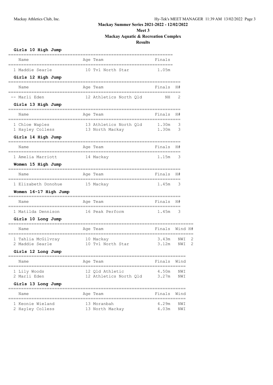# **Meet 3**

# **Mackay Aquatic & Recreation Complex**

| Girls 10 High Jump                   |                                           |                |            |   |
|--------------------------------------|-------------------------------------------|----------------|------------|---|
| Name                                 | Age Team                                  | Finals         |            |   |
| 1 Maddie Searle                      | 10 Tvl North Star                         | 1.05m          |            |   |
| Girls 12 High Jump                   |                                           |                |            |   |
| Name                                 | Age Team                                  | Finals         | H#         |   |
| Marli Eden                           | 12 Athletics North Qld                    | ΝH             | 2          |   |
| Girls 13 High Jump                   |                                           |                |            |   |
| Name                                 | Age Team                                  | Finals         | H#         |   |
| 1 Chloe Waples<br>1 Hayley Colless   | 13 Athletics North Qld<br>13 North Mackay | 1.30m<br>1.30m | 3<br>3     |   |
| Girls 14 High Jump                   |                                           |                |            |   |
| Name                                 | Age Team                                  | Finals         | H#         |   |
| 1 Amelia Marriott                    | 14 Mackay                                 | 1.15m          | 3          |   |
| Women 15 High Jump                   |                                           |                |            |   |
| Name                                 | Age Team                                  | Finals         | H#         |   |
| 1 Elizabeth Donohue                  | 15 Mackay                                 | 1.45m          | 3          |   |
| Women 16-17 High Jump                |                                           |                |            |   |
| Name                                 | Age Team                                  | Finals         | H#         |   |
| 1 Matilda Dennison                   | 16 Peak Perform                           | 1.45m          | 3          |   |
| Girls 10 Long Jump                   |                                           |                |            |   |
| Name                                 | Age Team                                  | Finals         | Wind H#    |   |
| 1 Tahlia McGilvray                   | 10 Mackay                                 | 3.43m          | NWI        | 2 |
| 2 Maddie Searle                      | 10 Tvl North Star                         | 3.12m          | NWI        | 2 |
| Girls 12 Long Jump                   |                                           | =====          |            |   |
| Name                                 | Age Team                                  | Finals         | Wind       |   |
| 1 Lily Woods<br>2 Marli Eden         | 12 Qld Athletic<br>12 Athletics North Qld | 4.50m<br>3.27m | NWI<br>NWI |   |
| Girls 13 Long Jump                   |                                           |                |            |   |
| Name                                 | Age Team                                  | Finals         | Wind       |   |
| 1 Keonie Wieland<br>2 Hayley Colless | 13 Moranbah<br>13 North Mackay            | 4.29m<br>4.03m | NWI<br>NWI |   |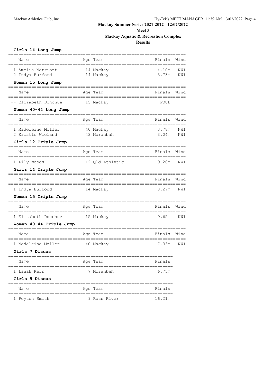**Meet 3 Mackay Aquatic & Recreation Complex Results**

| Girls 14 Long Jump                        |                        |                |            |
|-------------------------------------------|------------------------|----------------|------------|
| Name                                      | Age Team               | Finals         | Wind       |
| 1 Amelia Marriott<br>2 Indya Burford      | 14 Mackay<br>14 Mackay | 4.10m<br>3.73m | NWI<br>NWI |
| Women 15 Long Jump                        |                        |                |            |
| Name                                      | Age Team               | Finals         | Wind       |
| -- Elizabeth Donohue                      | 15 Mackay              | FOUL           |            |
| Women 40-44 Long Jump                     |                        |                |            |
| Name                                      | Age Team               | Finals         | Wind       |
| 1 Madeleine Moller                        | 40 Mackay              | 3.78m          | NWI        |
| 2 Kristie Wieland<br>Girls 12 Triple Jump | 43 Moranbah            | 3.04m          | NWI        |
| Name                                      | Age Team               | Finals         | Wind       |
| 1 Lily Woods                              | 12 Qld Athletic        | 9.20m          | NWI        |
| Girls 14 Triple Jump                      |                        |                |            |
| Name                                      | Age Team               | Finals         | Wind       |
| 1 Indya Burford                           | 14 Mackay              | 8.27m          | NWI        |
| Women 15 Triple Jump                      |                        |                |            |
| Name                                      | Age Team               | Finals         | Wind       |
| 1 Elizabeth Donohue                       | 15 Mackay              | 9.65m          | NWI        |
| Women 40-44 Triple Jump                   |                        |                |            |
| Name                                      | Age Team               | Finals         | Wind       |
| 1 Madeleine Moller                        | 40 Mackay              | 7.33m          | NWI        |
| Girls 7 Discus                            |                        |                |            |
| Name                                      | Age Team               | Finals         |            |
| 1 Lanah Kerr                              | 7 Moranbah             | 6.75m          |            |
| Girls 9 Discus                            |                        |                |            |
| Name                                      | Age Team               | Finals         |            |
| 1 Peyton Smith                            | 9 Ross River           | 16.21m         |            |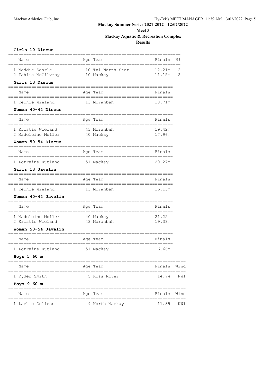## **Meet 3 Mackay Aquatic & Recreation Complex Results**

| Girls 10 Discus                                          |                                |                  |        |
|----------------------------------------------------------|--------------------------------|------------------|--------|
| Name                                                     | Age Team                       | Finals           | H#     |
| 1 Maddie Searle<br>2 Tahlia McGilvray<br>Girls 13 Discus | 10 Tvl North Star<br>10 Mackay | 12.21m<br>11.15m | 2<br>2 |
|                                                          |                                |                  |        |
| Name                                                     | Age Team                       | Finals           |        |
| 1 Keonie Wieland                                         | 13 Moranbah                    | 18.71m           |        |
| Women 40-44 Discus                                       |                                |                  |        |
| Name                                                     | Age Team                       | Finals           |        |
| 1 Kristie Wieland                                        | 43 Moranbah                    | 19.42m           |        |
| 2 Madeleine Moller                                       | 40 Mackay                      | 17.96m           |        |
| Women 50-54 Discus                                       |                                |                  |        |
| Name                                                     | Age Team                       | Finals           |        |
| 1 Lorraine Rutland                                       | 51 Mackay                      | 20.27m           |        |
| Girls 13 Javelin                                         |                                |                  |        |
| Name                                                     | Age Team                       | Finals           |        |
| 1 Keonie Wieland                                         | 13 Moranbah                    | 16.13m           |        |
| Women 40-44 Javelin                                      |                                |                  |        |
| Name                                                     | Age Team                       | Finals           |        |
| 1 Madeleine Moller                                       | 40 Mackay                      | 21.22m           |        |
| 2 Kristie Wieland                                        | 43 Moranbah                    | 19.38m           |        |
| Women 50-54 Javelin                                      |                                |                  |        |
| Name                                                     | Age Team                       | Finals           |        |
| 1 Lorraine Rutland                                       | 51 Mackay                      | 16.66m           |        |
| Boys 5 60 m<br>====================================      |                                |                  |        |
| Name                                                     | Age Team                       | Finals Wind      |        |
| 1 Ryder Smith                                            | 5 Ross River                   | 14.74            | NWI    |
| Boys $960 m$<br>======================================   | :====================          |                  |        |
| Name                                                     | Age Team                       | Finals Wind      |        |
| 1 Lachie Colless                                         | 9 North Mackay                 | 11.89            | NWI    |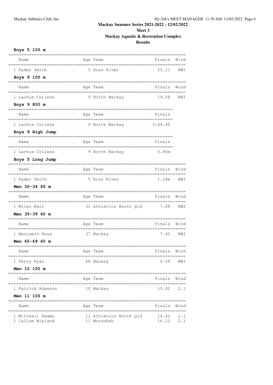# **Meet 3 Mackay Aquatic & Recreation Complex**

| Boys 5 100 m          |                             |             |      |
|-----------------------|-----------------------------|-------------|------|
| Name                  | Age Team                    | Finals      | Wind |
| 1 Ryder Smith         | 5 Ross River                | 25.11       | NWI  |
| Boys 9 100 m          |                             |             |      |
| Name                  | Age Team                    | Finals      | Wind |
| 1 Lachie Colless      | 9 North Mackay              | 19.58       | NWI  |
| Boys 9 800 m          |                             |             |      |
| Name                  | Age Team                    | Finals      |      |
| 1 Lachie Colless      | 9 North Mackay              | 3:44.40     |      |
| Boys 9 High Jump      |                             |             |      |
| Name                  | Age Team                    | Finals      |      |
| 1 Lachie Colless      | 9 North Mackay              | 0.85m       |      |
| Boys 5 Long Jump      |                             |             |      |
| Name                  | Age Team                    | Finals      | Wind |
| 1 Ryder Smith         | 5 Ross River                | 1.24m       | NWI  |
| <b>Men 30-34 60 m</b> |                             |             |      |
| Name                  | Age Team                    | Finals      | Wind |
| 1 Miles Kerr          | 31 Athletics North Qld 7.68 |             | NWI  |
| <b>Men 35-39 60 m</b> |                             |             |      |
| Name                  | Age Team                    | Finals      | Wind |
| 1 Benjamin Ross       | 37 Mackay                   | 7.60        | NWI  |
| <b>Men 65-69 60 m</b> |                             |             |      |
| Name                  | Age Team                    | Finals      | Wind |
| 1 Terry Ryan          | 68 Mackay                   | 9.08        | NWI  |
| <b>Men 10 100 m</b>   |                             |             |      |
| Name                  | Age Team                    | Finals Wind |      |
| 1 Patrick Adamson     | 10 Mackay                   | 15.92 2.1   |      |
| <b>Men 11 100 m</b>   |                             |             |      |
| Name                  | Age Team                    | Finals Wind |      |
| 1 Mitchell Adams      | 11 Athletics North Qld      | 14.62 2.1   |      |
| 2 Callum Wieland      | 11 Moranbah                 | 16.12       | 2.1  |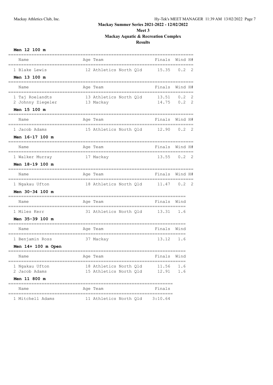# **Meet 3 Mackay Aquatic & Recreation Complex**

## **Results**

| Men 12 100 m                                                                      |                                                                 |                |                      |   |
|-----------------------------------------------------------------------------------|-----------------------------------------------------------------|----------------|----------------------|---|
| Name                                                                              | Age Team<br>==================                                  | Finals         | Wind H#              |   |
| 1 Blake Lewis                                                                     | 12 Athletics North Qld 15.35                                    |                | 0.2                  | 2 |
| Men 13 100 m                                                                      |                                                                 |                |                      |   |
| Name                                                                              | Age Team                                                        | Finals         | Wind H#              |   |
| 1 Taj Roelandts 13 Athletics North Qld 13.51<br>2 Johnny Ziegeler 13 Mackay 14.75 |                                                                 |                | 0.2<br>$0.2 \quad 2$ | 2 |
| Men 15 100 m                                                                      |                                                                 |                |                      |   |
| Name<br>===========<br>__________________                                         | Age Team<br>_____________________________________               | Finals         | Wind H#              |   |
| 1 Jacob Adams                                                                     | 15 Athletics North Q1d 12.90                                    |                | 0.2                  | 2 |
| Men 16-17 100 m                                                                   |                                                                 |                |                      |   |
| Name                                                                              | Age Team                                                        | Finals         | Wind H#              |   |
| 1 Walker Murray                                                                   | 17 Mackay                                                       | 13.55          | 0.2                  | 2 |
| Men 18-19 100 m                                                                   |                                                                 |                |                      |   |
| Name                                                                              | Age Team<br>____________________                                | Finals         | Wind H#              |   |
| 1 Ngakau Ufton                                                                    | 18 Athletics North Qld 11.47                                    |                | 0.2                  | 2 |
| Men 30-34 100 m                                                                   |                                                                 |                |                      |   |
| Name                                                                              | Age Team                                                        | Finals         | Wind                 |   |
| 1 Miles Kerr                                                                      | ===============================<br>31 Athletics North Qld 13.31 |                | 1.6                  |   |
| Men 35-39 100 m                                                                   |                                                                 |                |                      |   |
| Name                                                                              | Age Team                                                        | Finals         | Wind                 |   |
| 1 Benjamin Ross                                                                   | 37 Mackay                                                       | 13.12          | 1.6                  |   |
| Men 14+ 100 m Open                                                                |                                                                 |                |                      |   |
| Name                                                                              | Age Team                                                        | Finals         | Wind                 |   |
| 1 Ngakau Ufton<br>2 Jacob Adams                                                   | 18 Athletics North Qld<br>15 Athletics North Qld                | 11.56<br>12.91 | 1.6<br>1.6           |   |
| <b>Men 11 800 m</b>                                                               |                                                                 |                |                      |   |
| Name                                                                              | Age Team                                                        | Finals         |                      |   |
| ========                                                                          |                                                                 | ==========     |                      |   |

1 Mitchell Adams 11 Athletics North Qld 3:10.64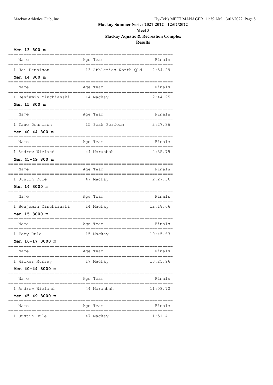# **Meet 3 Mackay Aquatic & Recreation Complex**

| Men 13 800 m                           |                                   |          |
|----------------------------------------|-----------------------------------|----------|
| Name                                   | Age Team                          | Finals   |
| 1 Jai Dennison                         | 13 Athletics North Qld            | 2:54.29  |
| Men 14 800 m                           |                                   |          |
| Name                                   | Age Team                          | Finals   |
| 1 Benjamin Minchianski 14 Mackay       |                                   | 2:44.25  |
| Men 15 800 m                           |                                   |          |
| Name                                   | Age Team                          | Finals   |
| 1 Tane Dennison                        | 15 Peak Perform                   | 2:27.86  |
| Men 40-44 800 m                        |                                   |          |
| Name                                   | Age Team                          | Finals   |
| 1 Andrew Wieland                       | 44 Moranbah                       | 2:35.75  |
| Men 45-49 800 m                        |                                   |          |
| Name                                   | Age Team                          | Finals   |
| 1 Justin Rule                          | 47 Mackay                         | 2:27.36  |
| <b>Men 14 3000 m</b>                   |                                   |          |
| Name                                   | Age Team                          | Finals   |
| 1 Benjamin Minchianski                 | 14 Mackay                         | 12:18.66 |
| Men 15 3000 m                          |                                   |          |
| Name                                   | Age Team                          | Finals   |
| 1 Toby Rule                            | 15 Mackay                         | 10:45.63 |
| Men 16-17 3000 m                       |                                   |          |
| Name                                   | Age Team                          | Finals   |
| 1 Walker Murray                        | 17 Mackay                         | 13:25.96 |
| Men 40-44 3000 m                       |                                   |          |
| Name<br>============================== | Age Team<br>==================    | Finals   |
| 1 Andrew Wieland                       | 44 Moranbah                       | 11:08.70 |
| Men 45-49 3000 m                       |                                   |          |
| Name<br>,,,,,,,,,,,,,,,,,,,,,,,,,,,,,, | Age Team<br>;==================== | Finals   |
| 1 Justin Rule                          | 47 Mackay                         | 11:51.41 |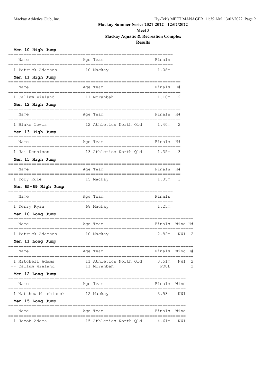# **Meet 3**

# **Mackay Aquatic & Recreation Complex**

| Men 10 High Jump                                        |                                       |                     |         |                |
|---------------------------------------------------------|---------------------------------------|---------------------|---------|----------------|
| Name                                                    | Age Team                              | Finals              |         |                |
| 1 Patrick Adamson                                       | 10 Mackay                             | 1.08m               |         |                |
| Men 11 High Jump<br>========================            |                                       |                     |         |                |
| Name                                                    | Age Team                              | Finals              | H#      |                |
| 1 Callum Wieland                                        | 11 Moranbah                           | 1.10m               | 2       |                |
| Men 12 High Jump<br>, _________________________         |                                       |                     |         |                |
| Name                                                    | Age Team                              | Finals              | H#      |                |
| 1 Blake Lewis                                           | 12 Athletics North Qld                | 1.40m               | 2       |                |
| Men 13 High Jump                                        |                                       |                     |         |                |
| Name                                                    | Age Team                              | Finals              | H#      |                |
| 1 Jai Dennison                                          | 13 Athletics North Qld                | 1.35m               | 3       |                |
| Men 15 High Jump                                        |                                       |                     |         |                |
| Name                                                    | Age Team                              | Finals              | H#      |                |
| 1 Toby Rule                                             | 15 Mackay                             | 1.35m               | 3       |                |
| Men 65-69 High Jump                                     |                                       |                     |         |                |
| Name                                                    | Age Team                              | Finals              |         |                |
| 1 Terry Ryan                                            | 68 Mackay                             | 1.25m               |         |                |
| Men 10 Long Jump                                        |                                       |                     |         |                |
| Name                                                    | Age Team                              | Finals              | Wind H# |                |
| 1 Patrick Adamson                                       | 10 Mackay                             | 2.82m               | NWI     | 2              |
| Men 11 Long Jump<br>=================================== |                                       |                     |         |                |
| Name                                                    | Age Team                              | Finals Wind H#      |         |                |
| 1 Mitchell Adams<br>-- Callum Wieland                   | 11 Athletics North Qld<br>11 Moranbah | 3.51m NWI 2<br>FOUL |         | $\overline{2}$ |
| Men 12 Long Jump                                        |                                       |                     |         |                |
| Name                                                    | Age Team                              | Finals Wind         |         |                |
| 1 Matthew Minchianski 12 Mackay                         |                                       | $3.53m$ NWI         |         |                |
| Men 15 Long Jump                                        |                                       |                     |         |                |
| Name                                                    | Age Team                              | Finals Wind         |         |                |
| 1 Jacob Adams                                           | 15 Athletics North Qld 4.61m          |                     | NWI     |                |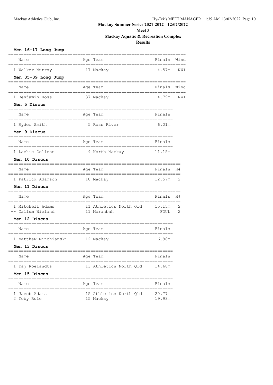# **Meet 3 Mackay Aquatic & Recreation Complex**

| Men 16-17 Long Jump                    |                                               |                  |      |
|----------------------------------------|-----------------------------------------------|------------------|------|
| Name                                   | Age Team                                      | Finals           | Wind |
| 1 Walker Murray                        | 17 Mackay                                     | 4.57m            | NWI  |
| Men 35-39 Long Jump                    |                                               |                  |      |
| Name                                   | Age Team                                      | Finals           | Wind |
| 1 Benjamin Ross                        | 37 Mackay                                     | 4.79m            | NWI  |
| Men 5 Discus                           |                                               |                  |      |
| Name                                   | Age Team                                      | Finals           |      |
| 1 Ryder Smith                          | 5 Ross River                                  | 6.01m            |      |
| Men 9 Discus                           |                                               |                  |      |
| Name                                   | Age Team                                      | Finals           |      |
| 1 Lachie Colless                       | 9 North Mackay                                | 11.15m           |      |
| Men 10 Discus                          |                                               |                  |      |
| Name                                   | Age Team                                      | Finals           | H#   |
| 1 Patrick Adamson                      | 10 Mackay                                     | 12.57m           | 2    |
| Men 11 Discus                          |                                               |                  |      |
| Name                                   | Age Team                                      | Finals H#        |      |
| 1 Mitchell Adams                       | 11 Athletics North Qld                        | 15.15m           | 2    |
| -- Callum Wieland<br>Men 12 Discus     | 11 Moranbah                                   | FOUL             | 2    |
|                                        |                                               |                  |      |
| Name                                   | Age Team                                      | Finals           |      |
| 1 Matthew Minchianski                  | 12 Mackay                                     | 16.98m           |      |
| Men 13 Discus                          |                                               |                  |      |
| Name                                   | Age Team<br>====================              | Finals           |      |
| 1 Taj Roelandts                        | 13 Athletics North Qld                        | 14.68m           |      |
| Men 15 Discus                          |                                               |                  |      |
| Name<br>============================== | Age Team<br>;================================ | Finals           |      |
| 1 Jacob Adams<br>2 Toby Rule           | 15 Athletics North Old<br>15 Mackay           | 20.77m<br>19.93m |      |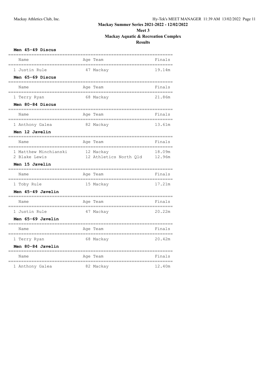# **Meet 3**

# **Mackay Aquatic & Recreation Complex**

| Men 45-49 Discus                          |                                         |                 |
|-------------------------------------------|-----------------------------------------|-----------------|
| Name                                      | Age Team                                | Finals          |
| 1 Justin Rule                             | 47 Mackay                               | 19.14m          |
| Men 65-69 Discus                          | --------------------                    |                 |
| Name<br>-----------------                 | Age Team                                | Finals          |
| 1 Terry Ryan                              | 68 Mackay                               | 21.86m          |
| Men 80-84 Discus<br>========              |                                         |                 |
| Name                                      | Age Team                                | Finals          |
| 1 Anthony Galea                           | 82 Mackay                               | 13.61m          |
| Men 12 Javelin                            |                                         |                 |
| Name<br>__________                        | Age Team<br>,,,,,,,,,,,,,,,,,,,,,,,,,,, | Finals          |
| 1 Matthew Minchianski                     | 12 Mackay                               | 18.09m          |
| 2 Blake Lewis                             | 12 Athletics North Qld                  | 12.96m          |
| Men 15 Javelin<br>----------              |                                         |                 |
| Name<br>:=============                    | Age Team<br>-----------                 | Finals          |
| 1 Toby Rule                               | 15 Mackay                               | 17.21m          |
| Men 45-49 Javelin                         |                                         |                 |
| Name                                      | Age Team                                | Finals<br>===== |
| 1 Justin Rule                             | 47 Mackay                               | 20.22m          |
| Men 65-69 Javelin                         |                                         |                 |
| Name<br>===================               | Age Team                                | Finals          |
| 1 Terry Ryan                              | 68 Mackay                               | 20.42m          |
| Men 80-84 Javelin<br>==================== |                                         |                 |
| Name                                      | Age Team                                | Finals          |
| 1 Anthony Galea                           | 82 Mackay                               | 12.40m          |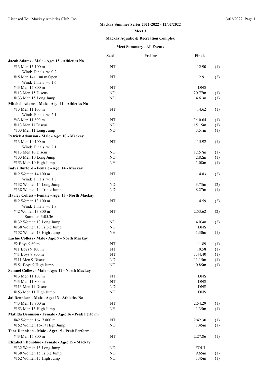#### **Meet 3**

## **Mackay Aquatic & Recreation Complex**

|                                                    | <b>Seed</b> | <b>Prelims</b> | <b>Finals</b>     |     |
|----------------------------------------------------|-------------|----------------|-------------------|-----|
| Jacob Adams - Male - Age: 15 - Athletics No        |             |                |                   |     |
| #13 Men 15 100 m                                   | NT          |                | 12.90             | (1) |
| Wind: Finals w: 0.2                                |             |                |                   |     |
| #15 Men 14+ 100 m Open                             | NT          |                | 12.91             | (2) |
| Wind: Finals w: 1.6                                |             |                |                   |     |
| #43 Men 15 800 m                                   | NT          |                | <b>DNS</b>        |     |
| #113 Men 15 Discus                                 | <b>ND</b>   |                | 20.77m            | (1) |
| #133 Men 15 Long Jump                              | <b>ND</b>   |                | 4.61m             | (1) |
| Mitchell Adams - Male - Age: 11 - Athletics No     |             |                |                   |     |
| #13 Men 11 100 m                                   | NT          |                | 14.62             | (1) |
| Wind: Finals w: 2.1                                |             |                |                   |     |
| #43 Men 11 800 m                                   | NT          |                | 3:10.64           | (1) |
| #113 Men 11 Discus                                 | ND          |                | 15.15m            | (1) |
| #133 Men 11 Long Jump                              | <b>ND</b>   |                | 3.51 <sub>m</sub> | (1) |
|                                                    |             |                |                   |     |
| Patrick Adamson - Male - Age: 10 - Mackay          |             |                |                   |     |
| #13 Men 10 100 m                                   | NT          |                | 15.92             | (1) |
| Wind: Finals w: 2.1                                |             |                |                   |     |
| $\#113$ Men 10 Discus                              | <b>ND</b>   |                | 12.57m            | (1) |
| #133 Men 10 Long Jump                              | <b>ND</b>   |                | 2.82m             | (1) |
| #153 Men 10 High Jump                              | NH          |                | 1.08 <sub>m</sub> | (1) |
| Indya Burford - Female - Age: 14 - Mackay          |             |                |                   |     |
| #12 Women 14 100 m                                 | NT          |                | 14.83             | (2) |
| Wind: Finals w: 1.8                                |             |                |                   |     |
| #132 Women 14 Long Jump                            | <b>ND</b>   |                | 3.73m             | (2) |
| #138 Women 14 Triple Jump                          | <b>ND</b>   |                | 8.27m             | (1) |
| Hayley Colless - Female - Age: 13 - North Mackay   |             |                |                   |     |
| #12 Women 13 100 m                                 | NT          |                | 14.59             | (2) |
| Wind: Finals w: 1.8                                |             |                |                   |     |
| #42 Women 13 800 m                                 | NT          |                | 2:53.62           | (2) |
| Summer: 3:05.36                                    |             |                |                   |     |
| #132 Women 13 Long Jump                            | <b>ND</b>   |                | 4.03m             | (2) |
| #138 Women 13 Triple Jump                          | <b>ND</b>   |                | <b>DNS</b>        |     |
| #152 Women 13 High Jump                            | <b>NH</b>   |                | 1.30 <sub>m</sub> | (1) |
| Lachie Colless - Male - Age: 9 - North Mackay      |             |                |                   |     |
| #2 Boys 9 60 m                                     | ΝT          |                | 11.89             |     |
|                                                    | NT          |                | 19.58             | (1) |
| #11 Boys 9 100 m                                   | NT          |                | 3:44.40           | (1) |
| #41 Boys 9 800 m                                   |             |                |                   | (1) |
| #111 Men 9 Discus                                  | $\rm ND$    |                | 11.15m            | (1) |
| #151 Boys 9 High Jump                              | NH          |                | 0.85m             | (1) |
| Samuel Colless - Male - Age: 11 - North Mackay     |             |                |                   |     |
| #13 Men 11 100 m                                   | NT          |                | <b>DNS</b>        |     |
| #43 Men 11 800 m                                   | NT          |                | <b>DNS</b>        |     |
| #113 Men 11 Discus                                 | ND          |                | <b>DNS</b>        |     |
| #153 Men 11 High Jump                              | NH          |                | <b>DNS</b>        |     |
| Jai Dennison - Male - Age: 13 - Athletics No       |             |                |                   |     |
| #43 Men 13 800 m                                   | NT          |                | 2:54.29           | (1) |
| #153 Men 13 High Jump                              | NH          |                | 1.35m             | (1) |
| Matilda Dennison - Female - Age: 16 - Peak Perform |             |                |                   |     |
| #42 Women 16-17 800 m                              | NT          |                | 2:42.30           | (1) |
| #152 Women 16-17 High Jump                         | NH          |                | 1.45m             | (1) |
| Tane Dennison - Male - Age: 15 - Peak Perform      |             |                |                   |     |
| #43 Men 15 800 m                                   | NT          |                |                   |     |
|                                                    |             |                | 2:27.86           | (1) |
| Elizabeth Donohue - Female - Age: 15 - Mackay      |             |                |                   |     |
| #132 Women 15 Long Jump                            | <b>ND</b>   |                | <b>FOUL</b>       |     |
| #138 Women 15 Triple Jump                          | ND          |                | 9.65m             | (1) |
| #152 Women 15 High Jump                            | NH          |                | 1.45m             | (1) |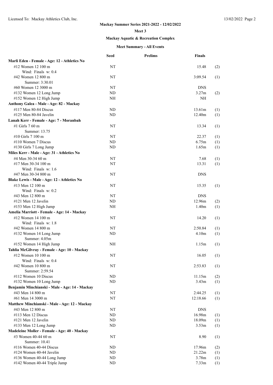#### **Meet 3**

## **Mackay Aquatic & Recreation Complex**

|                                                | <b>Seed</b> | <b>Prelims</b> | <b>Finals</b>     |     |
|------------------------------------------------|-------------|----------------|-------------------|-----|
| Marli Eden - Female - Age: 12 - Athletics No   |             |                |                   |     |
| #12 Women 12 100 m                             | NT          |                | 15.48             | (2) |
| Wind: Finals $w: 0.4$<br>#42 Women 12 800 m    | NT          |                | 3:09.54           | (1) |
| Summer: 3:30.01                                |             |                |                   |     |
| #60 Women 12 3000 m                            | NT          |                | <b>DNS</b>        |     |
| #132 Women 12 Long Jump                        | ND          |                | 3.27 <sub>m</sub> | (2) |
| #152 Women 12 High Jump                        | NH          |                | NH                |     |
| Anthony Galea - Male - Age: 82 - Mackay        |             |                |                   |     |
| #117 Men 80-84 Discus                          | ND          |                | 13.61m            | (1) |
| #125 Men 80-84 Javelin                         | <b>ND</b>   |                | 12.40m            | (1) |
| Lanah Kerr - Female - Age: 7 - Moranbah        |             |                |                   |     |
| #1 Girls 7 60 m                                | NT          |                | 13.34             | (1) |
| Summer: 13.75                                  |             |                |                   |     |
| #10 Girls 7 100 m                              | NT          |                | 22.37             | (1) |
| $\#110$ Women 7 Discus                         | <b>ND</b>   |                | 6.75m             | (1) |
| #130 Girls 7 Long Jump                         | ND          |                | 1.65m             | (1) |
| Miles Kerr - Male - Age: 31 - Athletics No     |             |                |                   |     |
| #4 Men 30-34 60 m                              | NT          |                | 7.68              | (1) |
| #17 Men 30-34 100 m                            | NT          |                | 13.31             | (1) |
| Wind: Finals w: 1.6                            |             |                |                   |     |
| #47 Men 30-34 800 m                            | NT          |                | <b>DNS</b>        |     |
| Blake Lewis - Male - Age: 12 - Athletics No    |             |                |                   |     |
| #13 Men 12 100 m                               | NT          |                | 15.35             | (1) |
| Wind: Finals w: 0.2                            |             |                |                   |     |
| #43 Men 12 800 m                               | NT          |                | <b>DNS</b>        |     |
| #121 Men 12 Javelin                            | <b>ND</b>   |                | 12.96m            | (2) |
| #153 Men 12 High Jump                          | NH          |                | 1.40 <sub>m</sub> | (1) |
| Amelia Marriott - Female - Age: 14 - Mackay    |             |                |                   |     |
| #12 Women 14 100 m                             | NT          |                | 14.20             | (1) |
| Wind: Finals w: 1.8                            |             |                |                   |     |
| #42 Women 14 800 m                             | NT          |                | 2:50.84           | (1) |
| #132 Women 14 Long Jump<br>Summer: 4.05m       | <b>ND</b>   |                | 4.10 <sub>m</sub> | (1) |
| #152 Women 14 High Jump                        | NH          |                | 1.15m             | (1) |
| Tahlia McGilvray - Female - Age: 10 - Mackay   |             |                |                   |     |
| #12 Women 10 100 m                             | NT          |                | 16.05             | (1) |
| Wind: Finals w: 0.4                            |             |                |                   |     |
| #42 Women 10 800 m                             | NT          |                | 2:53.83           | (1) |
| Summer: 2:59.54                                |             |                |                   |     |
| #112 Women 10 Discus                           | ND          |                | 11.15m            | (2) |
| #132 Women 10 Long Jump                        | <b>ND</b>   |                | 3.43 <sub>m</sub> | (1) |
| Benjamin Minchianski - Male - Age: 14 - Mackay |             |                |                   |     |
| #43 Men 14 800 m                               | NT          |                | 2:44.25           | (1) |
| #61 Men 14 3000 m                              | NT          |                | 12:18.66          | (1) |
| Matthew Minchianski - Male - Age: 12 - Mackay  |             |                |                   |     |
| #43 Men 12 800 m                               | NT          |                | <b>DNS</b>        |     |
| #113 Men 12 Discus                             | ND.         |                | 16.98m            | (1) |
| #121 Men 12 Javelin                            | ND          |                | 18.09m            | (1) |
| #133 Men 12 Long Jump                          | <b>ND</b>   |                | 3.53 <sub>m</sub> | (1) |
| Madeleine Moller - Female - Age: 40 - Mackay   |             |                |                   |     |
| #3 Women 40-44 60 m<br>Summer: 10.41           | NT          |                | 8.90              | (1) |
| #116 Women 40-44 Discus                        | ND          |                | 17.96m            | (2) |
| #124 Women 40-44 Javelin                       | ND          |                | 21.22m            | (1) |
| #136 Women 40-44 Long Jump                     | ND          |                | 3.78m             | (1) |
| #142 Women 40-44 Triple Jump                   | <b>ND</b>   |                | 7.33 <sub>m</sub> | (1) |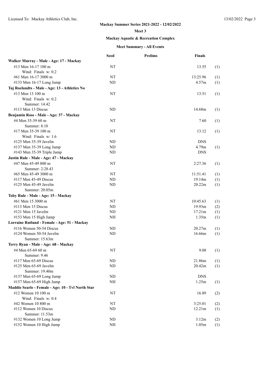#### **Meet 3**

## **Mackay Aquatic & Recreation Complex**

|                                                   | <b>Seed</b> | <b>Prelims</b> | <b>Finals</b> |     |
|---------------------------------------------------|-------------|----------------|---------------|-----|
| Walker Murray - Male - Age: 17 - Mackay           |             |                |               |     |
| #13 Men 16-17 100 m                               | NT          |                | 13.55         | (1) |
| Wind: Finals $w: 0.2$                             |             |                |               |     |
| #61 Men 16-17 3000 m                              | NT          |                | 13:25.96      | (1) |
| #133 Men 16-17 Long Jump                          | <b>ND</b>   |                | 4.57m         | (1) |
| Taj Roelandts - Male - Age: 13 - Athletics No     |             |                |               |     |
| #13 Men 13 100 m                                  | NT          |                | 13.51         | (1) |
| Wind: Finals w: 0.2                               |             |                |               |     |
| Summer: 14.42                                     |             |                |               |     |
| $\#113$ Men 13 Discus                             | ND          |                | 14.68m        | (1) |
| Benjamin Ross - Male - Age: 37 - Mackay           |             |                |               |     |
| #4 Men 35-39 60 m                                 | NT          |                | 7.60          | (1) |
| Summer: $8.10$                                    |             |                |               |     |
| #17 Men 35-39 100 m                               | NT          |                | 13.12         | (1) |
| Wind: Finals w: 1.6                               |             |                |               |     |
| #125 Men 35-39 Javelin                            | ND          |                | <b>DNS</b>    |     |
|                                                   | ND.         |                | 4.79m         |     |
| #137 Men 35-39 Long Jump                          | <b>ND</b>   |                | <b>DNS</b>    | (1) |
| #143 Men 35-39 Triple Jump                        |             |                |               |     |
| Justin Rule - Male - Age: 47 - Mackay             |             |                |               |     |
| #47 Men 45-49 800 m                               | NT          |                | 2:27.36       | (1) |
| Summer: 2:28.43                                   |             |                |               |     |
| #65 Men 45-49 3000 m                              | NT          |                | 11:51.41      | (1) |
| #117 Men 45-49 Discus                             | ND          |                | 19.14m        | (1) |
| #125 Men 45-49 Javelin                            | <b>ND</b>   |                | 20.22m        | (1) |
| Summer: 20.05m                                    |             |                |               |     |
| Toby Rule - Male - Age: 15 - Mackay               |             |                |               |     |
| #61 Men 15 3000 m                                 | NT          |                | 10:45.63      | (1) |
| #113 Men 15 Discus                                | <b>ND</b>   |                | 19.93m        | (2) |
| #121 Men 15 Javelin                               | ND          |                | 17.21m        | (1) |
| #153 Men 15 High Jump                             | NH          |                | 1.35m         | (1) |
| Lorraine Rutland - Female - Age: 51 - Mackay      |             |                |               |     |
| $\#116$ Women 50-54 Discus                        | ND.         |                | 20.27m        | (1) |
| #124 Women 50-54 Javelin                          | ND          |                | 16.66m        | (1) |
| Summer: 15.63m                                    |             |                |               |     |
| Terry Ryan - Male - Age: 68 - Mackay              |             |                |               |     |
| #4 Men 65-69 60 m                                 | NT          |                | 9.08          | (1) |
| Summer: 9.46                                      |             |                |               |     |
| #117 Men 65-69 Discus                             | $\rm ND$    |                | 21.86m        | (1) |
| #125 Men 65-69 Javelin                            | ND          |                | 20.42m        | (1) |
| Summer: 19.40m                                    |             |                |               |     |
| #137 Men 65-69 Long Jump                          | ND          |                | <b>DNS</b>    |     |
| #157 Men 65-69 High Jump                          | NH          |                | 1.25m         | (1) |
| Maddie Searle - Female - Age: 10 - Tvl North Star |             |                |               |     |
| #12 Women 10 100 m                                | NT          |                | 16.89         | (2) |
| Wind: Finals w: 0.4                               |             |                |               |     |
| #42 Women 10 800 m                                | NT          |                | 3:25.01       | (2) |
| #112 Women 10 Discus                              | ND          |                | 12.21m        | (1) |
| Summer: 11.53m                                    |             |                |               |     |
| #132 Women 10 Long Jump                           | ND          |                | 3.12m         | (2) |
| #152 Women 10 High Jump                           | NH          |                | 1.05m         | (1) |
|                                                   |             |                |               |     |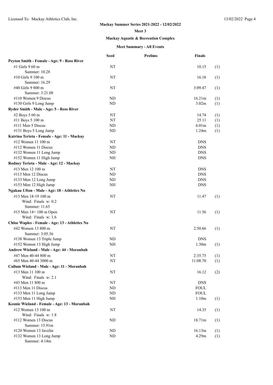#### **Meet 3**

## **Mackay Aquatic & Recreation Complex**

|                                                | <b>Seed</b> | <b>Prelims</b> | <b>Finals</b>     |     |
|------------------------------------------------|-------------|----------------|-------------------|-----|
| Peyton Smith - Female - Age: 9 - Ross River    |             |                |                   |     |
| #1 Girls 9 60 m                                | NT          |                | 10.15             | (1) |
| Summer: 10.28                                  |             |                |                   |     |
| #10 Girls 9 100 m                              | NT          |                | 16.18             | (1) |
| Summer: 16.29                                  |             |                |                   |     |
| #40 Girls 9 800 m                              | NT          |                | 3:09.47           | (1) |
| Summer: 3:21.08                                |             |                |                   |     |
| #110 Women 9 Discus                            | <b>ND</b>   |                | 16.21m            | (1) |
| #130 Girls 9 Long Jump                         | ND          |                | 3.02m             | (1) |
| Ryder Smith - Male - Age: 5 - Ross River       |             |                |                   |     |
| #2 Boys 5 60 m                                 | NT          |                | 14.74             | (1) |
| #11 Boys 5 100 m                               | NT          |                | 25.11             | (1) |
| $\#111$ Men 5 Discus                           | <b>ND</b>   |                | 6.01 <sub>m</sub> | (1) |
| #131 Boys 5 Long Jump                          | <b>ND</b>   |                | 1.24m             | (1) |
| Katrina Terieta - Female - Age: 11 - Mackay    |             |                |                   |     |
| #12 Women 11 100 m                             | NT          |                | <b>DNS</b>        |     |
| #112 Women 11 Discus                           | ND          |                | <b>DNS</b>        |     |
| #132 Women 11 Long Jump                        | ND          |                | <b>DNS</b>        |     |
| #152 Women 11 High Jump                        | NH          |                | <b>DNS</b>        |     |
| Rodney Terieta - Male - Age: 12 - Mackay       |             |                |                   |     |
| #13 Men 12 100 m                               | NT          |                | <b>DNS</b>        |     |
| $\#113$ Men 12 Discus                          | ND          |                | <b>DNS</b>        |     |
| #133 Men 12 Long Jump                          | ND          |                | <b>DNS</b>        |     |
| #153 Men 12 High Jump                          | NH          |                | <b>DNS</b>        |     |
| Ngakau Ufton - Male - Age: 18 - Athletics No   |             |                |                   |     |
| #13 Men 18-19 100 m                            | NT          |                | 11.47             | (1) |
| Wind: Finals w: 0.2                            |             |                |                   |     |
| Summer: 11.65                                  |             |                |                   |     |
| #15 Men 14+ 100 m Open                         | NT          |                | 11.56             | (1) |
| Wind: Finals w: 1.6                            |             |                |                   |     |
| Chloe Waples - Female - Age: 13 - Athletics No |             |                |                   |     |
| #42 Women 13 800 m                             | NT          |                | 2:50.66           | (1) |
| Summer: 3:05.36                                |             |                |                   |     |
| #138 Women 13 Triple Jump                      | ND          |                | <b>DNS</b>        |     |
| #152 Women 13 High Jump                        | NH          |                | 1.30 <sub>m</sub> | (1) |
| Andrew Wieland - Male - Age: 44 - Moranbah     |             |                |                   |     |
|                                                |             |                |                   |     |
| #47 Men 40-44 800 m<br>#65 Men 40-44 3000 m    | NT          |                | 2:35.75           | (1) |
|                                                | NT          |                | 11:08.70          | (1) |
| Callum Wieland - Male - Age: 11 - Moranbah     |             |                |                   |     |
| #13 Men 11 100 m                               | NT          |                | 16.12             | (2) |
| Wind: Finals w: 2.1                            |             |                |                   |     |
| #43 Men 11 800 m                               | NT          |                | <b>DNS</b>        |     |
| #113 Men 11 Discus                             | ND          |                | <b>FOUL</b>       |     |
| #133 Men 11 Long Jump                          | ND          |                | <b>FOUL</b>       |     |
| #153 Men 11 High Jump                          | NH          |                | 1.10 <sub>m</sub> | (1) |
| Keonie Wieland - Female - Age: 13 - Moranbah   |             |                |                   |     |
| #12 Women 13 100 m                             | NT          |                | 14.35             | (1) |
| Wind: Finals w: 1.8                            |             |                |                   |     |
| #112 Women 13 Discus                           | <b>ND</b>   |                | 18.71m            | (1) |
| Summer: 15.91m                                 |             |                |                   |     |
| #120 Women 13 Javelin                          | ND          |                | 16.13m            | (1) |
| #132 Women 13 Long Jump                        | ND          |                | 4.29m             | (1) |
| Summer: 4.14m                                  |             |                |                   |     |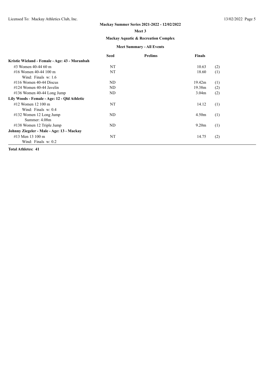#### **Meet 3**

## **Mackay Aquatic & Recreation Complex**

#### **Meet Summary - All Events**

|                                               | <b>Seed</b> | <b>Prelims</b> | <b>Finals</b>     |     |
|-----------------------------------------------|-------------|----------------|-------------------|-----|
| Kristie Wieland - Female - Age: 43 - Moranbah |             |                |                   |     |
| #3 Women $40-44$ 60 m                         | NT          |                | 10.63             | (2) |
| #16 Women 40-44 100 m                         | NT          |                | 18.60             | (1) |
| Wind: Finals w: 1.6                           |             |                |                   |     |
| $\#116$ Women 40-44 Discus                    | ND          |                | 19.42m            | (1) |
| #124 Women 40-44 Javelin                      | ND          |                | 19.38m            | (2) |
| $\#136$ Women 40-44 Long Jump                 | ND          |                | 3.04 <sub>m</sub> | (2) |
| Lily Woods - Female - Age: 12 - Old Athletic  |             |                |                   |     |
| $\#12$ Women 12 100 m                         | NT          |                | 14.12             | (1) |
| Wind: Finals w: 0.4                           |             |                |                   |     |
| $\#132$ Women 12 Long Jump                    | ND          |                | 4.50 <sub>m</sub> | (1) |
| Summer: 4.08m                                 |             |                |                   |     |
| #138 Women 12 Triple Jump                     | ND          |                | 9.20 <sub>m</sub> | (1) |
| Johnny Ziegeler - Male - Age: 13 - Mackay     |             |                |                   |     |
| #13 Men 13 100 m                              | NT          |                | 14.75             | (2) |
| Wind: Finals $w: 0.2$                         |             |                |                   |     |

**Total Athletes: 41**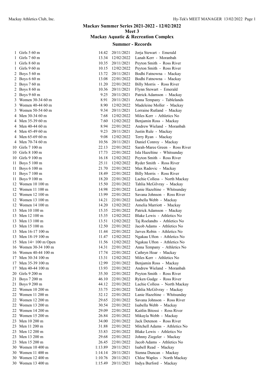| 14.42   | 20/11/2021       | Jorja Stewart - Emerald        |
|---------|------------------|--------------------------------|
| 13.34   | 12/02/2022       | Lanah Kerr - Moranbah          |
| 10.35   | 20/11/2021       | Peyton Smith - Ross River      |
| 10.15   | 12/02/2022       | Peyton Smith - Ross River      |
| 13.72   | 20/11/2021       | Bodhi Fatnowna - Mackay        |
| 13.08   | 22/01/2022       | Bodhi Fatnowna - Mackay        |
| 11.20   | 22/01/2022       | Billy Morris - Ross River      |
| 10.36   | 20/11/2021       | Flynn Stewart - Emerald        |
| 9.25    | 20/11/2021       | Patrick Adamson - Mackay       |
| 8.91    | 20/11/2021       | Anna Tempany - Tablelands      |
| 8.90    | 12/02/2022       | Madeleine Moller - Mackay      |
| 9.34    | 20/11/2021       | Lorraine Rutland - Mackay      |
| 7.68    | 12/02/2022       | Miles Kerr - Athletics No      |
| 7.60    | 12/02/2022       | Benjamin Ross - Mackay         |
| 8.94    | 22/01/2022       | Andrew Wieland - Moranbah      |
|         |                  |                                |
| 9.23    | 20/11/2021       | Justin Rule - Mackay           |
|         | 9.08 12/02/2022  | Terry Ryan - Mackay            |
| 10.56   | 20/11/2021       | Daniel Conroy - Mackay         |
| 22.13   | 22/01/2022       | Sarah-Maree Green - Ross River |
|         | 17.73 22/01/2022 | Isla Hazeltine - Whitsunday    |
|         | 16.18 12/02/2022 | Peyton Smith - Ross River      |
| 25.11   | 12/02/2022       | Ryder Smith - Ross River       |
| 21.70   | 22/01/2022       | Max Radovic - Mackay           |
| 18.49   | 22/01/2022       | Billy Morris - Ross River      |
| 18.20   | 22/01/2022       | Lachie Colless - North Mackay  |
| 15.50   | 22/01/2022       | Tahlia McGilvray - Mackay      |
| 14.98   | 22/01/2022       | Lanie Hazeltine - Whitsunday   |
| 13.99   | 22/01/2022       | Savana Johnson - Ross River    |
| 14.21   | 22/01/2022       | Isabella Webb - Mackay         |
| 14.20   | 12/02/2022       | Amelia Marriott - Mackay       |
| 15.35   | 22/01/2022       | Patrick Adamson - Mackay       |
| 15.35   | 12/02/2022       | Blake Lewis - Athletics No     |
| 13.51   | 12/02/2022       | Taj Roelandts - Athletics No   |
| 12.50   | 22/01/2022       | Jacob Adams - Athletics No     |
| 11.44   | 22/01/2022       | Jarves Robin - Athletics No    |
|         | 11.47 12/02/2022 |                                |
|         |                  | Ngakau Ufton - Athletics No    |
| 11.56   | 12/02/2022       | Ngakau Ufton - Athletics No    |
| 14.31   | 22/01/2022       | Anna Tempany - Athletics No    |
| 17.74   | 22/01/2022       | Cathryn Hoar - Mackay          |
| 13.31   | 12/02/2022       | Miles Kerr - Athletics No      |
| 12.99   | 22/01/2022       | Benjamin Ross - Mackay         |
| 13.93   | 22/01/2022       | Andrew Wieland - Moranbah      |
| 35.30   | 22/01/2022       | Peyton Smith - Ross River      |
| 46.10   | 22/01/2022       | Ryken Gudge - Ross River       |
| 44.12   | 22/01/2022       | Lachie Colless - North Mackay  |
| 33.75   | 22/01/2022       | Tahlia McGilvray - Mackay      |
| 32.12   | 22/01/2022       | Lanie Hazeltine - Whitsunday   |
| 29.65   | 22/01/2022       | Savana Johnson - Ross River    |
| 30.54   | 22/01/2022       | Isabella Webb - Mackay         |
| 29.09   | 22/01/2022       | Kaitlin Bitossi - Ross River   |
| 26.84   | 22/01/2022       | Mikayla Webb - Mackay          |
| 34.00   | 22/01/2022       | Jack Detenon - Ross River      |
| 31.88   | 22/01/2022       | Mitchell Adams - Athletics No  |
| 33.83   | 22/01/2022       | Blake Lewis - Athletics No     |
| 29.68   | 22/01/2022       | Johnny Ziegeler - Mackay       |
|         | 22/01/2022       | Jacob Adams - Athletics No     |
| 26.45   |                  |                                |
| 1:13.89 | 20/11/2021       | Isabell Read - Mackay          |
| 1:14.14 | 20/11/2021       | Sienna Duncan - Mackay         |
| 1:10.76 | 20/11/2021       | Chloe Waples - North Mackay    |
| 1:15.49 | 20/11/2021       | Indya Burford - Mackay         |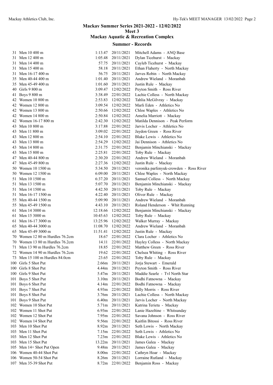| 31 Men 10 400 m                 | 1:13.47           | 20/11/2021       | Mitchell Adams - ANQ Base               |
|---------------------------------|-------------------|------------------|-----------------------------------------|
| 31 Men 12 400 m                 | 1:05.48           | 20/11/2021       | Dylan Ticehurst - Mackay                |
| 31 Men 14 400 m                 | 57.75             | 20/11/2021       | Cayleb Ticehurst - Mackay               |
| 31 Men 15 400 m                 | 58.18             | 20/11/2021       | Ethan Flaherty - North Mackay           |
| 31 Men 16-17 400 m              | 56.75             | 20/11/2021       | Jarves Robin - North Mackay             |
| 35 Men 40-44 400 m              | 1:01.40           | 20/11/2021       | Andrew Wieland - Moranbah               |
| 35 Men 45-49 400 m              | 1:01.60           | 20/11/2021       | Justin Rule - Mackay                    |
| 40 Girls 9 800 m                | 3:09.47           | 12/02/2022       | Peyton Smith - Ross River               |
| 41 Boys 9 800 m                 | 3:38.49           | 22/01/2022       | Lachie Colless - North Mackay           |
| 42 Women 10 800 m               | 2:53.83           | 12/02/2022       | Tahlia McGilvray - Mackay               |
| 42 Women 12 800 m               | 3:09.54           | 12/02/2022       | Marli Eden - Athletics No               |
| 42 Women 13 800 m               | 2:50.66           | 12/02/2022       | Chloe Waples - Athletics No             |
| 42 Women 14 800 m               | 2:50.84           | 12/02/2022       | Amelia Marriott - Mackay                |
| 42 Women 16-17 800 m            | 2:42.30           | 12/02/2022       | Matilda Dennison - Peak Perform         |
| 43 Men 10 800 m                 | 3:17.88           | 22/01/2022       | Jarvis Locher - Athletics No            |
| 43 Men 11 800 m                 | 3:09.02           | 22/01/2022       | Jaydon Green - Ross River               |
| 43 Men 12 800 m                 | 2:54.10           | 22/01/2022       | Blake Lewis - Athletics No              |
| 43 Men 13 800 m                 | 2:54.29           | 12/02/2022       | Jai Dennison - Athletics No             |
|                                 |                   |                  |                                         |
| 43 Men 14 800 m                 | 2:31.75           | 22/01/2022       | Benjamin Minchianski - Mackay           |
| 43 Men 15 800 m                 | 2:25.81           | 22/01/2022       | Toby Rule - Mackay                      |
| 47 Men 40-44 800 m              | 2:30.20           | 22/01/2022       | Andrew Wieland - Moranbah               |
| 47 Men 45-49 800 m              | 2:27.36           | 12/02/2022       | Justin Rule - Mackay                    |
| 50 Women 10 1500 m              | 5:34.50           | 20/11/2021       | veronika parfenyuk-crowden - Ross River |
| 50 Women 12 1500 m              | 6:09.00           | 20/11/2021       | Chloe Waples - North Mackay             |
| 51 Men 10 1500 m                | 6:37.20           | 20/11/2021       | Samuel Colless - North Mackay           |
| 51 Men 13 1500 m                | 5:07.70           | 20/11/2021       | Benjamin Minchianski - Mackay           |
| 51 Men 14 1500 m                | 4:42.50           | 20/11/2021       | Toby Rule - Mackay                      |
| 51 Men 16-17 1500 m             | 4:22.40           | 20/11/2021       | Oliver Rule - Mackay                    |
| 55 Men 40-44 1500 m             | 5:09.90           | 20/11/2021       | Andrew Wieland - Moranbah               |
| 55 Men 45-49 1500 m             | 4:43.10           | 20/11/2021       | Roland Henderson - Whit Running         |
| 61 Men 14 3000 m                | 12:18.66          | 12/02/2022       | Benjamin Minchianski - Mackay           |
| 61 Men 15 3000 m                | 10:45.63          | 12/02/2022       | Toby Rule - Mackay                      |
| 61 Men 16-17 3000 m             | 13:25.96          | 12/02/2022       | Walker Murray - Mackay                  |
| 65 Men 40-44 3000 m             | 11:08.70          | 12/02/2022       | Andrew Wieland - Moranbah               |
| 65 Men 45-49 3000 m             | 11:51.41          | 12/02/2022       | Justin Rule - Mackay                    |
| 70 Women 12 80 m Hurdles 76.2cm | 18.67             | 22/01/2022       | Clara Locher - Athletics No             |
| 70 Women 13 80 m Hurdles 76.2cm | 14.11             | 22/01/2022       | Hayley Colless - North Mackay           |
| 71 Men 13 90 m Hurdles 76.2cm   | 18.85             | 22/01/2022       | Matthew Green - Ross River              |
| 72 Women 14 90 m Hurdles 76.2cm | 19.62             | 22/01/2022       | Chelsea Whiting - Ross River            |
| 73 Men 15 100 m Hurdles 84.0cm  | 23.65             | 22/01/2022       | Toby Rule - Mackay                      |
| 100 Girls 5 Shot Put            | 2.66m             | 20/11/2021       | Jorja Stewart - Emerald                 |
| 100 Girls 8 Shot Put            | 4.44m             | 20/11/2021       | Peyton Smith - Ross River               |
| 100 Girls 9 Shot Put            | 5.47m             | 20/11/2021       | Maddie Searle - Tvl North Star          |
| 101 Boys 5 Shot Put             | 3.10 <sub>m</sub> | 20/11/2021       | Bodhi Fatnowna - Mackay                 |
| 101 Boys 6 Shot Put             | 4.14m             | 22/01/2022       | Bodhi Fatnowna - Mackay                 |
| 101 Boys 7 Shot Put             |                   | 4.93m 22/01/2022 | Billy Morris - Ross River               |
| 101 Boys 8 Shot Put             | 3.76m             | 20/11/2021       | Lachie Colless - North Mackay           |
| 101 Boys 9 Shot Put             | 6.40m             | 20/11/2021       | Jarvis Locher - North Mackay            |
| 102 Women 10 Shot Put           | 5.71m             | 20/11/2021       | Katrina Terieta - Mackay                |
| 102 Women 11 Shot Put           | 6.93 <sub>m</sub> | 22/01/2022       | Lanie Hazeltine - Whitsunday            |
| 102 Women 12 Shot Put           | 7.95m             | 22/01/2022       | Savana Johnson - Ross River             |
| 102 Women 14 Shot Put           | 9.56m             | 22/01/2022       | Kaitlin Bitossi - Ross River            |
| 103 Men 10 Shot Put             | 8.92 <sub>m</sub> | 20/11/2021       | Seth Lowis - North Mackay               |
| 103 Men 11 Shot Put             | 7.15m             | 22/01/2022       | Seth Lowis - Athletics No               |
| 103 Men 12 Shot Put             | 7.23m             | 22/01/2022       | Blake Lewis - Athletics No              |
| 103 Men 15 Shot Put             | 13.22m            | 20/11/2021       | James Galea - Mackay                    |
| 105 Men 14+ Shot Put Open       | 9.48m             | 20/11/2021       | James Galea - Mackay                    |
| 106 Women 40-44 Shot Put        | 8.00m             | 22/01/2022       | Cathryn Hoar - Mackay                   |
| 106 Women 50-54 Shot Put        | 8.26m             | 20/11/2021       | Lorraine Rutland - Mackay               |
| 107 Men 35-39 Shot Put          |                   | 8.72m 22/01/2022 | Benjamin Ross - Mackay                  |
|                                 |                   |                  |                                         |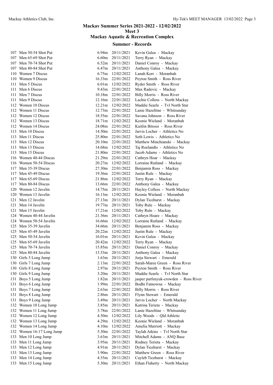| 107 | Men 50-54 Shot Put                        |
|-----|-------------------------------------------|
| 107 | Men 65-69 Shot Put                        |
| 107 | Men 70-74 Shot Put                        |
| 107 | Men 80-84 Shot Put                        |
| 110 | Women 7 Discus                            |
| 110 | Women 9 Discus                            |
| 111 | Men 5 Discus                              |
| 111 | Men 6 Discus                              |
| 111 | Men 7 Discus                              |
| 111 | Men 9 Discus                              |
| 112 | Women 10 Discus                           |
| 112 | Women 11 Discus                           |
| 112 |                                           |
|     | Women 12 Discus                           |
| 112 | Women 13 Discus                           |
| 112 | Women 14 Discus                           |
| 113 | Men 10 Discus                             |
| 113 | Men 11 Discus                             |
| 113 | Men 12 Discus                             |
| 113 | Men 13 Discus                             |
| 113 | Men 15 Discus                             |
| 116 | Women 40-44 Discus                        |
| 116 | Women 50-54 Discus                        |
| 117 | Men 35-39 Discus                          |
| 117 | Men 45-49 Discus                          |
| 117 | Men 65-69 Discus                          |
| 117 | Men 80-84 Discus                          |
| 120 | Women 12 Javelin                          |
| 120 | Women 13 Javelin                          |
| 121 | Men 12 Javelin                            |
| 121 | Men 14 Javelin                            |
| 121 | Men 15 Javelin                            |
| 124 | Women 40-44 Javelin                       |
| 124 | Women 50-54 Javelin                       |
| 125 | Men 35-39 Javelin                         |
| 125 | Men 45-49 Javelin                         |
| 125 | Men 50-54 Javelin                         |
| 125 | Men 65-69 Javelin                         |
| 125 | Men 70-74 Javelin                         |
| 125 | Men 80-84 Javelin                         |
| 130 | Girls 5 Long Jump                         |
| 130 | Girls 7 Long Jump                         |
| 130 | Girls 8 Long Jump                         |
| 130 | Girls 9 Long Jump                         |
| 131 | Boys 5 Long Jump                          |
| 131 | Boys 6 Long Jump                          |
| 131 | Boys 7 Long Jump                          |
| 131 |                                           |
|     | Boys 8 Long Jump                          |
| 131 | Boys 9 Long Jump                          |
| 132 | Women 10 Long Jump                        |
| 132 | Women 11 Long Jump                        |
| 132 | Women 12 Long Jump                        |
| 132 | Women 13 Long Jump                        |
| 132 | Women 14 Long Jump<br>Women 16-17 Long Ju |
| 132 |                                           |
| 133 | Men 10 Long Jump                          |
| 133 | Men 11 Long Jump                          |
| 133 | Men 12 Long Jump                          |
| 133 | Men 13 Long Jump                          |
| 133 | Men 14 Long Jump                          |
| 122 | 1.5.7                                     |

| 107 Men 50-54 Shot Put    |                   | 6.94m 20/11/2021  | Kevin Galea - Mackay                  |
|---------------------------|-------------------|-------------------|---------------------------------------|
| 107 Men 65-69 Shot Put    | 6.60m             | 20/11/2021        | Terry Ryan - Mackay                   |
| 107 Men 70-74 Shot Put    | 6.52m             | 20/11/2021        | Daniel Conroy - Mackay                |
| 107 Men 80-84 Shot Put    | 6.47m             | 20/11/2021        | Anthony Galea - Mackay                |
| 110 Women 7 Discus        |                   | 6.75m 12/02/2022  | Lanah Kerr - Moranbah                 |
| 110 Women 9 Discus        | 16.33m            | 22/01/2022        | Peyton Smith - Ross River             |
| 111 Men 5 Discus          | 6.01m             | 12/02/2022        | Ryder Smith - Ross River              |
| 111 Men 6 Discus          | 9.43m             | 22/01/2022        | Max Radovic - Mackay                  |
| 111 Men 7 Discus          | 10.18m            | 22/01/2022        | Billy Morris - Ross River             |
| 111 Men 9 Discus          | 12.16m            | 22/01/2022        | Lachie Colless - North Mackay         |
| 112 Women 10 Discus       |                   | 12.21m 12/02/2022 | Maddie Searle - Tvl North Star        |
| 112 Women 11 Discus       |                   | 12.73m 22/01/2022 | Lanie Hazeltine - Whitsunday          |
| 112 Women 12 Discus       |                   | 18.55m 22/01/2022 | Savana Johnson - Ross River           |
| 112 Women 13 Discus       |                   | 18.71m 12/02/2022 | Keonie Wieland - Moranbah             |
| 112 Women 14 Discus       | 24.08m            | 22/01/2022        | Kaitlin Bitossi - Ross River          |
|                           |                   |                   |                                       |
| 113 Men 10 Discus         | 14.50m            | 22/01/2022        | Jarvis Locher - Athletics No          |
| 113 Men 11 Discus         | 25.80m            | 22/01/2022        | Seth Lowis - Athletics No             |
| 113 Men 12 Discus         | 20.10m            | 22/01/2022        | Matthew Minchianski - Mackay          |
| 113 Men 13 Discus         | 14.68m            | 12/02/2022        | Taj Roelandts - Athletics No          |
| 113 Men 15 Discus         | 21.80m            | 22/01/2022        | Jacob Adams - Athletics No            |
| 116 Women 40-44 Discus    | 21.29m            | 22/01/2022        | Cathryn Hoar - Mackay                 |
| 116 Women 50-54 Discus    | 20.27m            | 12/02/2022        | Lorraine Rutland - Mackay             |
| 117 Men 35-39 Discus      | 27.30m            | 22/01/2022        | Benjamin Ross - Mackay                |
| 117 Men 45-49 Discus      | 19.36m            | 22/01/2022        | Justin Rule - Mackay                  |
| 117 Men 65-69 Discus      |                   | 21.86m 12/02/2022 | Terry Ryan - Mackay                   |
| 117 Men 80-84 Discus      |                   | 13.66m 22/01/2022 | Anthony Galea - Mackay                |
| 120 Women 12 Javelin      | 14.75m            | 20/11/2021        | Hayley Colless - North Mackay         |
| 120 Women 13 Javelin      |                   | 16.13m 12/02/2022 | Keonie Wieland - Moranbah             |
| 121 Men 12 Javelin        | 27.13m            | 20/11/2021        | Dylan Ticehurst - Mackay              |
| 121 Men 14 Javelin        | 19.77m            | 20/11/2021        | Toby Rule - Mackay                    |
| 121 Men 15 Javelin        | 17.21m            | 12/02/2022        | Toby Rule - Mackay                    |
| 124 Women 40-44 Javelin   | 21.36m            | 20/11/2021        | Cathryn Hoare - Mackay                |
| 124 Women 50-54 Javelin   | 16.66m            | 12/02/2022        | Lorraine Rutland - Mackay             |
| 125 Men 35-39 Javelin     | 34.66m            | 20/11/2021        | Benjamin Ross - Mackay                |
| 125 Men 45-49 Javelin     |                   | 20.22m 12/02/2022 | Justin Rule - Mackay                  |
| 125 Men 50-54 Javelin     | 16.01m            | 20/11/2021        | Kevin Galea - Mackay                  |
| 125 Men 65-69 Javelin     |                   | 20.42m 12/02/2022 | Terry Ryan - Mackay                   |
| 125 Men 70-74 Javelin     | 15.85m            | 20/11/2021        | Daniel Conroy - Mackay                |
| 125 Men 80-84 Javelin     | 13.53m            | 20/11/2021        | Anthony Galea - Mackay                |
| 130 Girls 5 Long Jump     | 1.63 <sub>m</sub> | 20/11/2021        | Jorja Stewart - Emerald               |
| 130 Girls 7 Long Jump     | 2.13 <sub>m</sub> | 22/01/2022        | Sarah-Maree Green - Ross River        |
| 130 Girls 8 Long Jump     | 2.97 <sub>m</sub> | 20/11/2021        | Peyton Smith - Ross River             |
| 130 Girls 9 Long Jump     | 3.20 <sub>m</sub> | 20/11/2021        | Maddie Searle - Tvl North Star        |
|                           | 1.82m             | 20/11/2021        | jasper parfenyuk-crowden - Ross River |
| 131 Boys 5 Long Jump      |                   |                   |                                       |
| 131 Boys 6 Long Jump      | 1.99 <sub>m</sub> | 22/01/2022        | Bodhi Fatnowna - Mackay               |
| 131 Boys 7 Long Jump      | 2.63 <sub>m</sub> | 22/01/2022        | Billy Morris - Ross River             |
| 131 Boys 8 Long Jump      | 2.86m             | 20/11/2021        | Flynn Stewart - Emerald               |
| 131 Boys 9 Long Jump      | 3.49 <sub>m</sub> | 20/11/2021        | Jarvis Locher - North Mackay          |
| 132 Women 10 Long Jump    | 3.85m             | 20/11/2021        | Katrina Terieta - Mackay              |
| 132 Women 11 Long Jump    | 3.78 <sub>m</sub> | 22/01/2022        | Lanie Hazeltine - Whitsunday          |
| 132 Women 12 Long Jump    | 4.50 <sub>m</sub> | 12/02/2022        | Lily Woods - Qld Athletic             |
| 132 Women 13 Long Jump    | 4.29m             | 12/02/2022        | Keonie Wieland - Moranbah             |
| 132 Women 14 Long Jump    | 4.10 <sub>m</sub> | 12/02/2022        | Amelia Marriott - Mackay              |
| 132 Women 16-17 Long Jump | 5.30m             | 22/01/2022        | Taylah Atkins - Tvl North Star        |
| 133 Men 10 Long Jump      | 3.63 <sub>m</sub> | 20/11/2021        | Mitchell Adams - ANQ Base             |
| 133 Men 11 Long Jump      | 3.95m             | 20/11/2021        | Rodney Terieta - Mackay               |
| 133 Men 12 Long Jump      | 4.91 <sub>m</sub> | 20/11/2021        | Dylan Ticehurst - Mackay              |
| 133 Men 13 Long Jump      | 3.90 <sub>m</sub> | 22/01/2022        | Matthew Green - Ross River            |
| 133 Men 14 Long Jump      | 4.55m             | 20/11/2021        | Cayleb Ticehurst - Mackay             |
| 133 Men 15 Long Jump      | 5.30m             | 20/11/2021        | Ethan Flaherty - North Mackay         |